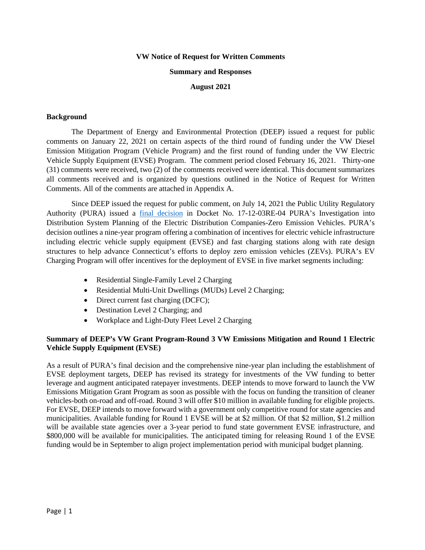#### **VW Notice of Request for Written Comments**

#### **Summary and Responses**

#### **August 2021**

#### **Background**

The Department of Energy and Environmental Protection (DEEP) issued a request for public comments on January 22, 2021 on certain aspects of the third round of funding under the VW Diesel Emission Mitigation Program (Vehicle Program) and the first round of funding under the VW Electric Vehicle Supply Equipment (EVSE) Program. The comment period closed February 16, 2021. Thirty-one (31) comments were received, two (2) of the comments received were identical. This document summarizes all comments received and is organized by questions outlined in the Notice of Request for Written Comments. All of the comments are attached in Appendix A.

Since DEEP issued the request for public comment, on July 14, 2021 the Public Utility Regulatory Authority (PURA) issued a [final decision](http://www.dpuc.state.ct.us/dockcurr.nsf/All/C224B0ACB2BE08A0852587120051C534?OpenDocument) in Docket No. 17-12-03RE-04 PURA's Investigation into Distribution System Planning of the Electric Distribution Companies-Zero Emission Vehicles. PURA's decision outlines a nine-year program offering a combination of incentives for electric vehicle infrastructure including electric vehicle supply equipment (EVSE) and fast charging stations along with rate design structures to help advance Connecticut's efforts to deploy zero emission vehicles (ZEVs). PURA's EV Charging Program will offer incentives for the deployment of EVSE in five market segments including:

- Residential Single-Family Level 2 Charging
- Residential Multi-Unit Dwellings (MUDs) Level 2 Charging;
- Direct current fast charging (DCFC);
- Destination Level 2 Charging; and
- Workplace and Light-Duty Fleet Level 2 Charging

#### **Summary of DEEP's VW Grant Program-Round 3 VW Emissions Mitigation and Round 1 Electric Vehicle Supply Equipment (EVSE)**

As a result of PURA's final decision and the comprehensive nine-year plan including the establishment of EVSE deployment targets, DEEP has revised its strategy for investments of the VW funding to better leverage and augment anticipated ratepayer investments. DEEP intends to move forward to launch the VW Emissions Mitigation Grant Program as soon as possible with the focus on funding the transition of cleaner vehicles-both on-road and off-road. Round 3 will offer \$10 million in available funding for eligible projects. For EVSE, DEEP intends to move forward with a government only competitive round for state agencies and municipalities. Available funding for Round 1 EVSE will be at \$2 million. Of that \$2 million, \$1.2 million will be available state agencies over a 3-year period to fund state government EVSE infrastructure, and \$800,000 will be available for municipalities. The anticipated timing for releasing Round 1 of the EVSE funding would be in September to align project implementation period with municipal budget planning.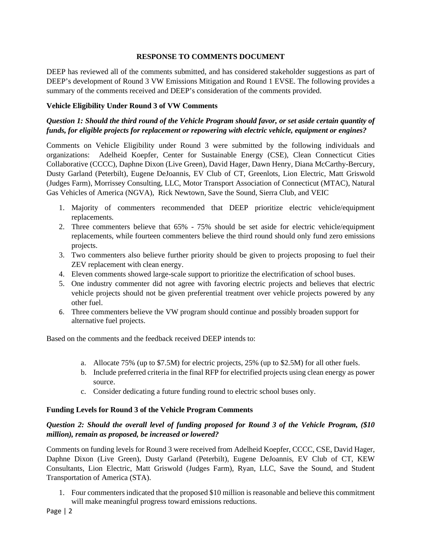## **RESPONSE TO COMMENTS DOCUMENT**

DEEP has reviewed all of the comments submitted, and has considered stakeholder suggestions as part of DEEP's development of Round 3 VW Emissions Mitigation and Round 1 EVSE. The following provides a summary of the comments received and DEEP's consideration of the comments provided.

## **Vehicle Eligibility Under Round 3 of VW Comments**

# *Question 1: Should the third round of the Vehicle Program should favor, or set aside certain quantity of funds, for eligible projects for replacement or repowering with electric vehicle, equipment or engines?*

Comments on Vehicle Eligibility under Round 3 were submitted by the following individuals and organizations: Adelheid Koepfer, Center for Sustainable Energy (CSE), Clean Connecticut Cities Collaborative (CCCC), Daphne Dixon (Live Green), David Hager, Dawn Henry, Diana McCarthy-Bercury, Dusty Garland (Peterbilt), Eugene DeJoannis, EV Club of CT, Greenlots, Lion Electric, Matt Griswold (Judges Farm), Morrissey Consulting, LLC, Motor Transport Association of Connecticut (MTAC), Natural Gas Vehicles of America (NGVA), Rick Newtown, Save the Sound, Sierra Club, and VEIC

- 1. Majority of commenters recommended that DEEP prioritize electric vehicle/equipment replacements.
- 2. Three commenters believe that 65% 75% should be set aside for electric vehicle/equipment replacements, while fourteen commenters believe the third round should only fund zero emissions projects.
- 3. Two commenters also believe further priority should be given to projects proposing to fuel their ZEV replacement with clean energy.
- 4. Eleven comments showed large-scale support to prioritize the electrification of school buses.
- 5. One industry commenter did not agree with favoring electric projects and believes that electric vehicle projects should not be given preferential treatment over vehicle projects powered by any other fuel.
- 6. Three commenters believe the VW program should continue and possibly broaden support for alternative fuel projects.

Based on the comments and the feedback received DEEP intends to:

- a. Allocate 75% (up to \$7.5M) for electric projects, 25% (up to \$2.5M) for all other fuels.
- b. Include preferred criteria in the final RFP for electrified projects using clean energy as power source.
- c. Consider dedicating a future funding round to electric school buses only.

### **Funding Levels for Round 3 of the Vehicle Program Comments**

# *Question 2: Should the overall level of funding proposed for Round 3 of the Vehicle Program, (\$10 million), remain as proposed, be increased or lowered?*

Comments on funding levels for Round 3 were received from Adelheid Koepfer, CCCC, CSE, David Hager, Daphne Dixon (Live Green), Dusty Garland (Peterbilt), Eugene DeJoannis, EV Club of CT, KEW Consultants, Lion Electric, Matt Griswold (Judges Farm), Ryan, LLC, Save the Sound, and Student Transportation of America (STA).

1. Four commenters indicated that the proposed \$10 million is reasonable and believe this commitment will make meaningful progress toward emissions reductions.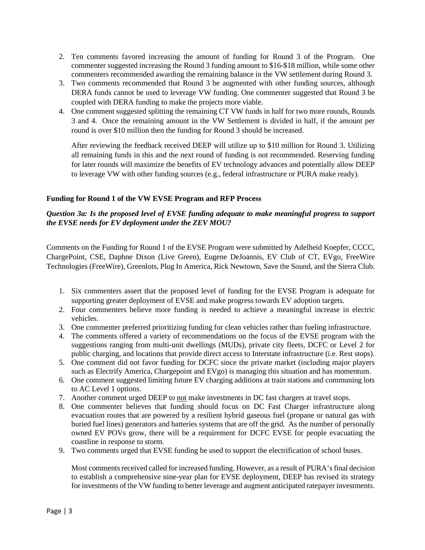- 2. Ten comments favored increasing the amount of funding for Round 3 of the Program. One commenter suggested increasing the Round 3 funding amount to \$16-\$18 million, while some other commenters recommended awarding the remaining balance in the VW settlement during Round 3.
- 3. Two comments recommended that Round 3 be augmented with other funding sources, although DERA funds cannot be used to leverage VW funding. One commenter suggested that Round 3 be coupled with DERA funding to make the projects more viable.
- 4. One comment suggested splitting the remaining CT VW funds in half for two more rounds, Rounds 3 and 4. Once the remaining amount in the VW Settlement is divided in half, if the amount per round is over \$10 million then the funding for Round 3 should be increased.

After reviewing the feedback received DEEP will utilize up to \$10 million for Round 3. Utilizing all remaining funds in this and the next round of funding is not recommended. Reserving funding for later rounds will maximize the benefits of EV technology advances and potentially allow DEEP to leverage VW with other funding sources (e.g., federal infrastructure or PURA make ready).

## **Funding for Round 1 of the VW EVSE Program and RFP Process**

# *Question 3a: Is the proposed level of EVSE funding adequate to make meaningful progress to support the EVSE needs for EV deployment under the ZEV MOU?*

Comments on the Funding for Round 1 of the EVSE Program were submitted by Adelheid Koepfer, CCCC, ChargePoint, CSE, Daphne Dixon (Live Green), Eugene DeJoannis, EV Club of CT, EVgo, FreeWire Technologies (FreeWire), Greenlots, Plug In America, Rick Newtown, Save the Sound, and the Sierra Club.

- 1. Six commenters assert that the proposed level of funding for the EVSE Program is adequate for supporting greater deployment of EVSE and make progress towards EV adoption targets.
- 2. Four commenters believe more funding is needed to achieve a meaningful increase in electric vehicles.
- 3. One commenter preferred prioritizing funding for clean vehicles rather than fueling infrastructure.
- 4. The comments offered a variety of recommendations on the focus of the EVSE program with the suggestions ranging from multi-unit dwellings (MUDs), private city fleets, DCFC or Level 2 for public charging, and locations that provide direct access to Interstate infrastructure (i.e. Rest stops).
- 5. One comment did not favor funding for DCFC since the private market (including major players such as Electrify America, Chargepoint and EVgo) is managing this situation and has momentum.
- 6. One comment suggested limiting future EV charging additions at train stations and communing lots to AC Level 1 options.
- 7. Another comment urged DEEP to not make investments in DC fast chargers at travel stops.
- 8. One commenter believes that funding should focus on DC Fast Charger infrastructure along evacuation routes that are powered by a resilient hybrid gaseous fuel (propane or natural gas with buried fuel lines) generators and batteries systems that are off the grid. As the number of personally owned EV POVs grow, there will be a requirement for DCFC EVSE for people evacuating the coastline in response to storm.
- 9. Two comments urged that EVSE funding be used to support the electrification of school buses.

Most comments received called for increased funding. However, as a result of PURA's final decision to establish a comprehensive nine-year plan for EVSE deployment, DEEP has revised its strategy for investments of the VW funding to better leverage and augment anticipated ratepayer investments.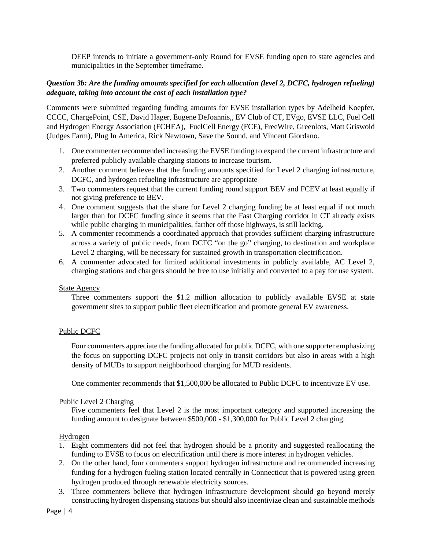DEEP intends to initiate a government-only Round for EVSE funding open to state agencies and municipalities in the September timeframe.

## *Question 3b: Are the funding amounts specified for each allocation (level 2, DCFC, hydrogen refueling) adequate, taking into account the cost of each installation type?*

Comments were submitted regarding funding amounts for EVSE installation types by Adelheid Koepfer, CCCC, ChargePoint, CSE, David Hager, Eugene DeJoannis,, EV Club of CT, EVgo, EVSE LLC, Fuel Cell and Hydrogen Energy Association (FCHEA), FuelCell Energy (FCE), FreeWire, Greenlots, Matt Griswold (Judges Farm), Plug In America, Rick Newtown, Save the Sound, and Vincent Giordano.

- 1. One commenter recommended increasing the EVSE funding to expand the current infrastructure and preferred publicly available charging stations to increase tourism.
- 2. Another comment believes that the funding amounts specified for Level 2 charging infrastructure, DCFC, and hydrogen refueling infrastructure are appropriate
- 3. Two commenters request that the current funding round support BEV and FCEV at least equally if not giving preference to BEV.
- 4. One comment suggests that the share for Level 2 charging funding be at least equal if not much larger than for DCFC funding since it seems that the Fast Charging corridor in CT already exists while public charging in municipalities, farther off those highways, is still lacking.
- 5. A commenter recommends a coordinated approach that provides sufficient charging infrastructure across a variety of public needs, from DCFC "on the go" charging, to destination and workplace Level 2 charging, will be necessary for sustained growth in transportation electrification.
- 6. A commenter advocated for limited additional investments in publicly available, AC Level 2, charging stations and chargers should be free to use initially and converted to a pay for use system.

#### State Agency

Three commenters support the \$1.2 million allocation to publicly available EVSE at state government sites to support public fleet electrification and promote general EV awareness.

### Public DCFC

Four commenters appreciate the funding allocated for public DCFC, with one supporter emphasizing the focus on supporting DCFC projects not only in transit corridors but also in areas with a high density of MUDs to support neighborhood charging for MUD residents.

One commenter recommends that \$1,500,000 be allocated to Public DCFC to incentivize EV use.

#### Public Level 2 Charging

Five commenters feel that Level 2 is the most important category and supported increasing the funding amount to designate between \$500,000 - \$1,300,000 for Public Level 2 charging.

#### Hydrogen

- 1. Eight commenters did not feel that hydrogen should be a priority and suggested reallocating the funding to EVSE to focus on electrification until there is more interest in hydrogen vehicles.
- 2. On the other hand, four commenters support hydrogen infrastructure and recommended increasing funding for a hydrogen fueling station located centrally in Connecticut that is powered using green hydrogen produced through renewable electricity sources.
- 3. Three commenters believe that hydrogen infrastructure development should go beyond merely constructing hydrogen dispensing stations but should also incentivize clean and sustainable methods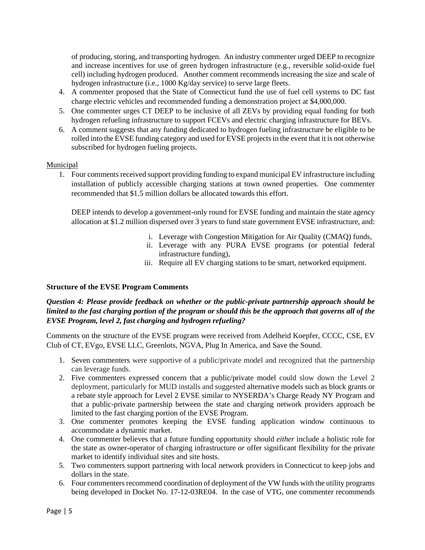of producing, storing, and transporting hydrogen. An industry commenter urged DEEP to recognize and increase incentives for use of green hydrogen infrastructure (e.g., reversible solid-oxide fuel cell) including hydrogen produced. Another comment recommends increasing the size and scale of hydrogen infrastructure (i.e., 1000 Kg/day service) to serve large fleets.

- 4. A commenter proposed that the State of Connecticut fund the use of fuel cell systems to DC fast charge electric vehicles and recommended funding a demonstration project at \$4,000,000.
- 5. One commenter urges CT DEEP to be inclusive of all ZEVs by providing equal funding for both hydrogen refueling infrastructure to support FCEVs and electric charging infrastructure for BEVs.
- 6. A comment suggests that any funding dedicated to hydrogen fueling infrastructure be eligible to be rolled into the EVSE funding category and used for EVSE projects in the event that it is not otherwise subscribed for hydrogen fueling projects.

### Municipal

1. Four comments received support providing funding to expand municipal EV infrastructure including installation of publicly accessible charging stations at town owned properties. One commenter recommended that \$1.5 million dollars be allocated towards this effort.

DEEP intends to develop a government-only round for EVSE funding and maintain the state agency allocation at \$1.2 million dispersed over 3 years to fund state government EVSE infrastructure, and:

- i. Leverage with Congestion Mitigation for Air Quality (CMAQ) funds,
- ii. Leverage with any PURA EVSE programs (or potential federal infrastructure funding),
- iii. Require all EV charging stations to be smart, networked equipment.

### **Structure of the EVSE Program Comments**

# *Question 4: Please provide feedback on whether or the public-private partnership approach should be limited to the fast charging portion of the program or should this be the approach that governs all of the EVSE Program, level 2, fast charging and hydrogen refueling?*

Comments on the structure of the EVSE program were received from Adelheid Koepfer, CCCC, CSE, EV Club of CT, EVgo, EVSE LLC, Greenlots, NGVA, Plug In America, and Save the Sound.

- 1. Seven commenters were supportive of a public/private model and recognized that the partnership can leverage funds.
- 2. Five commenters expressed concern that a public/private model could slow down the Level 2 deployment, particularly for MUD installs and suggested alternative models such as block grants or a rebate style approach for Level 2 EVSE similar to NYSERDA's Charge Ready NY Program and that a public-private partnership between the state and charging network providers approach be limited to the fast charging portion of the EVSE Program.
- 3. One commenter promotes keeping the EVSE funding application window continuous to accommodate a dynamic market.
- 4. One commenter believes that a future funding opportunity should *either* include a holistic role for the state as owner-operator of charging infrastructure *or* offer significant flexibility for the private market to identify individual sites and site hosts.
- 5. Two commenters support partnering with local network providers in Connecticut to keep jobs and dollars in the state.
- 6. Four commenters recommend coordination of deployment of the VW funds with the utility programs being developed in Docket No. 17-12-03RE04. In the case of VTG, one commenter recommends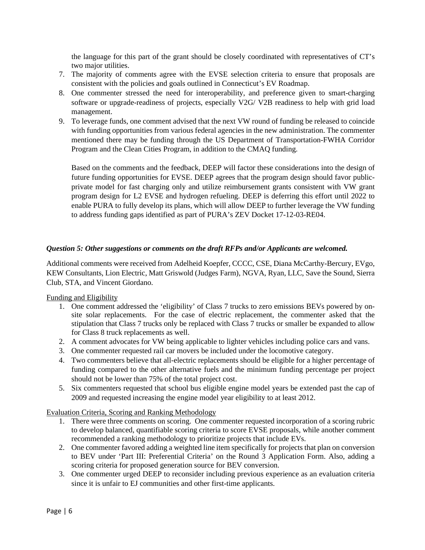the language for this part of the grant should be closely coordinated with representatives of CT's two major utilities.

- 7. The majority of comments agree with the EVSE selection criteria to ensure that proposals are consistent with the policies and goals outlined in Connecticut's EV Roadmap.
- 8. One commenter stressed the need for interoperability, and preference given to smart-charging software or upgrade-readiness of projects, especially V2G/ V2B readiness to help with grid load management.
- 9. To leverage funds, one comment advised that the next VW round of funding be released to coincide with funding opportunities from various federal agencies in the new administration. The commenter mentioned there may be funding through the US Department of Transportation-FWHA Corridor Program and the Clean Cities Program, in addition to the CMAQ funding.

Based on the comments and the feedback, DEEP will factor these considerations into the design of future funding opportunities for EVSE. DEEP agrees that the program design should favor publicprivate model for fast charging only and utilize reimbursement grants consistent with VW grant program design for L2 EVSE and hydrogen refueling. DEEP is deferring this effort until 2022 to enable PURA to fully develop its plans, which will allow DEEP to further leverage the VW funding to address funding gaps identified as part of PURA's ZEV Docket 17-12-03-RE04.

## *Question 5: Other suggestions or comments on the draft RFPs and/or Applicants are welcomed.*

Additional comments were received from Adelheid Koepfer, CCCC, CSE, Diana McCarthy-Bercury, EVgo, KEW Consultants, Lion Electric, Matt Griswold (Judges Farm), NGVA, Ryan, LLC, Save the Sound, Sierra Club, STA, and Vincent Giordano.

Funding and Eligibility

- 1. One comment addressed the 'eligibility' of Class 7 trucks to zero emissions BEVs powered by onsite solar replacements. For the case of electric replacement, the commenter asked that the stipulation that Class 7 trucks only be replaced with Class 7 trucks or smaller be expanded to allow for Class 8 truck replacements as well.
- 2. A comment advocates for VW being applicable to lighter vehicles including police cars and vans.
- 3. One commenter requested rail car movers be included under the locomotive category.
- 4. Two commenters believe that all-electric replacements should be eligible for a higher percentage of funding compared to the other alternative fuels and the minimum funding percentage per project should not be lower than 75% of the total project cost.
- 5. Six commenters requested that school bus eligible engine model years be extended past the cap of 2009 and requested increasing the engine model year eligibility to at least 2012.

Evaluation Criteria, Scoring and Ranking Methodology

- 1. There were three comments on scoring. One commenter requested incorporation of a scoring rubric to develop balanced, quantifiable scoring criteria to score EVSE proposals, while another comment recommended a ranking methodology to prioritize projects that include EVs.
- 2. One commenter favored adding a weighted line item specifically for projects that plan on conversion to BEV under 'Part III: Preferential Criteria' on the Round 3 Application Form. Also, adding a scoring criteria for proposed generation source for BEV conversion.
- 3. One commenter urged DEEP to reconsider including previous experience as an evaluation criteria since it is unfair to EJ communities and other first-time applicants.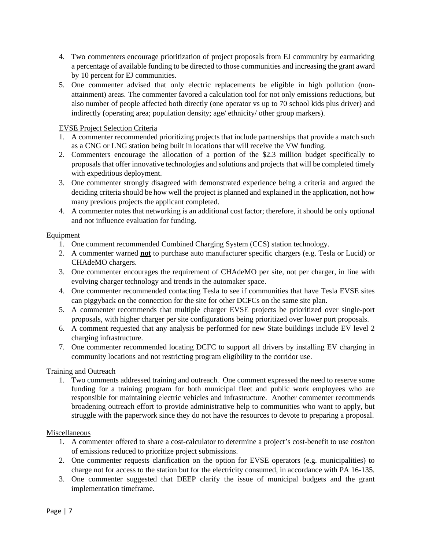- 4. Two commenters encourage prioritization of project proposals from EJ community by earmarking a percentage of available funding to be directed to those communities and increasing the grant award by 10 percent for EJ communities.
- 5. One commenter advised that only electric replacements be eligible in high pollution (nonattainment) areas. The commenter favored a calculation tool for not only emissions reductions, but also number of people affected both directly (one operator vs up to 70 school kids plus driver) and indirectly (operating area; population density; age/ ethnicity/ other group markers).

## EVSE Project Selection Criteria

- 1. A commenter recommended prioritizing projects that include partnerships that provide a match such as a CNG or LNG station being built in locations that will receive the VW funding.
- 2. Commenters encourage the allocation of a portion of the \$2.3 million budget specifically to proposals that offer innovative technologies and solutions and projects that will be completed timely with expeditious deployment.
- 3. One commenter strongly disagreed with demonstrated experience being a criteria and argued the deciding criteria should be how well the project is planned and explained in the application, not how many previous projects the applicant completed.
- 4. A commenter notes that networking is an additional cost factor; therefore, it should be only optional and not influence evaluation for funding.

### **Equipment**

- 1. One comment recommended Combined Charging System (CCS) station technology.
- 2. A commenter warned **not** to purchase auto manufacturer specific chargers (e.g. Tesla or Lucid) or CHAdeMO chargers.
- 3. One commenter encourages the requirement of CHAdeMO per site, not per charger, in line with evolving charger technology and trends in the automaker space.
- 4. One commenter recommended contacting Tesla to see if communities that have Tesla EVSE sites can piggyback on the connection for the site for other DCFCs on the same site plan.
- 5. A commenter recommends that multiple charger EVSE projects be prioritized over single-port proposals, with higher charger per site configurations being prioritized over lower port proposals.
- 6. A comment requested that any analysis be performed for new State buildings include EV level 2 charging infrastructure.
- 7. One commenter recommended locating DCFC to support all drivers by installing EV charging in community locations and not restricting program eligibility to the corridor use.

### Training and Outreach

1. Two comments addressed training and outreach. One comment expressed the need to reserve some funding for a training program for both municipal fleet and public work employees who are responsible for maintaining electric vehicles and infrastructure. Another commenter recommends broadening outreach effort to provide administrative help to communities who want to apply, but struggle with the paperwork since they do not have the resources to devote to preparing a proposal.

### Miscellaneous

- 1. A commenter offered to share a cost-calculator to determine a project's cost-benefit to use cost/ton of emissions reduced to prioritize project submissions.
- 2. One commenter requests clarification on the option for EVSE operators (e.g. municipalities) to charge not for access to the station but for the electricity consumed, in accordance with PA 16-135.
- 3. One commenter suggested that DEEP clarify the issue of municipal budgets and the grant implementation timeframe.